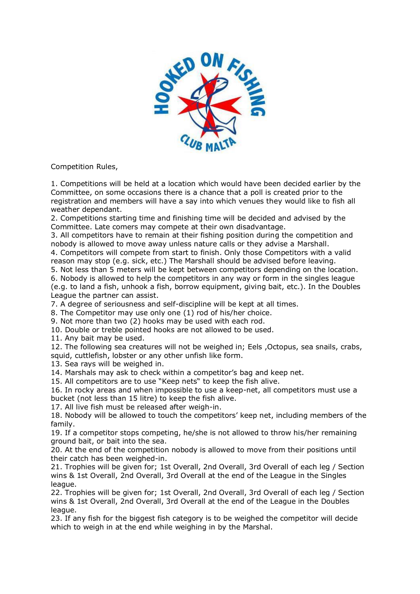

Competition Rules,

1. Competitions will be held at a location which would have been decided earlier by the Committee, on some occasions there is a chance that a poll is created prior to the registration and members will have a say into which venues they would like to fish all weather dependant.

2. Competitions starting time and finishing time will be decided and advised by the Committee. Late comers may compete at their own disadvantage.

3. All competitors have to remain at their fishing position during the competition and nobody is allowed to move away unless nature calls or they advise a Marshall.

4. Competitors will compete from start to finish. Only those Competitors with a valid reason may stop (e.g. sick, etc.) The Marshall should be advised before leaving.

5. Not less than 5 meters will be kept between competitors depending on the location.

6. Nobody is allowed to help the competitors in any way or form in the singles league (e.g. to land a fish, unhook a fish, borrow equipment, giving bait, etc.). In the Doubles League the partner can assist.

7. A degree of seriousness and self-discipline will be kept at all times.

8. The Competitor may use only one (1) rod of his/her choice.

9. Not more than two (2) hooks may be used with each rod.

10. Double or treble pointed hooks are not allowed to be used.

11. Any bait may be used.

12. The following sea creatures will not be weighed in; Eels ,Octopus, sea snails, crabs, squid, cuttlefish, lobster or any other unfish like form.

13. Sea rays will be weighed in.

14. Marshals may ask to check within a competitor's bag and keep net.

15. All competitors are to use "Keep nets" to keep the fish alive.

16. In rocky areas and when impossible to use a keep-net, all competitors must use a bucket (not less than 15 litre) to keep the fish alive.

17. All live fish must be released after weigh-in.

18. Nobody will be allowed to touch the competitors' keep net, including members of the family.

19. If a competitor stops competing, he/she is not allowed to throw his/her remaining ground bait, or bait into the sea.

20. At the end of the competition nobody is allowed to move from their positions until their catch has been weighed-in.

21. Trophies will be given for; 1st Overall, 2nd Overall, 3rd Overall of each leg / Section wins & 1st Overall, 2nd Overall, 3rd Overall at the end of the League in the Singles league.

22. Trophies will be given for; 1st Overall, 2nd Overall, 3rd Overall of each leg / Section wins & 1st Overall, 2nd Overall, 3rd Overall at the end of the League in the Doubles league.

23. If any fish for the biggest fish category is to be weighed the competitor will decide which to weigh in at the end while weighing in by the Marshal.